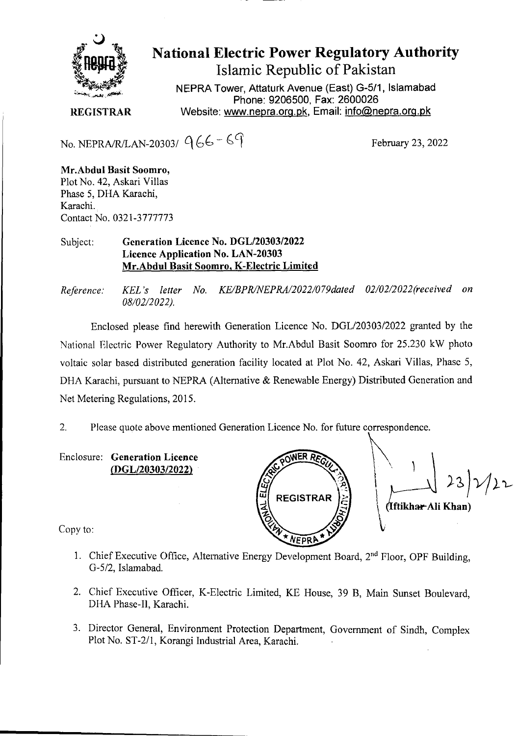

**National Electric Power Regulatory Authority Islamic Republic of Pakistan** 

**NEPRA Tower, Attaturk Avenue (East) G-511, Islamabad Phone: 9206500, Fax: 2600026 REGISTRAR** Website: www.nepra.org.pk, Email: info@nepra.org.pk

No. NEPRA/R/LAN-20303/  $966 - 69$  February 23, 2022

**Mr.Abdul Basit Soomro,**  Plot No. 42, Askari Villas Phase 5, DHA Karachi, Karachi.. Contact No. 032 1-3777773

## Subject: **Generation Licence No.** *DGL12030312022*  **Licence Application No. LAN-20303 Mr.Abdul Basit Soomro, K-Electric Limited**

*Reference. KEL 's letter No. KE/BPR/NEPRA/2022/079dated 02/02/2022(received on 08/02/2 022).* 

Enclosed please find herewith Generation Licence No. DGL/20303/2022 granted by the National Electric Power Regulatory Authority to Mr.Abdul Basit Soomro for 25.230 kW photo voltaic solar based distributed generation facility located at Plot No. 42, Askari Villas, Phase *5,*  DHA Karachi, pursuant to NEPRA (Alternative & Renewable Energy) Distributed Generation and Net Metering Regulations, 2015.

2. Please quote above mentioned Generation Licence No. for future correspondence.

Enclosure: **Generation Licence (DGL/20303/2022)** 

 $23)$  $22$ ปั **REGISTRAR ftikhw-Ali Khan)** 

Copy to:

- 1. Chief Executive Office, Alternative Energy Development Board, 2<sup>nd</sup> Floor, OPF Building, G-5/2, Islamabad.
- 2. Chief Executive Officer, K-Electric Limited, KE House, 39 B, Main Sunset Boulevard, DHA Phase-Il, Karachi.
- 3. Director General, Environment Protection Department, Government of Sindh, Complex Plot No. ST-2/l, Korangi Industrial Area, Karachi.